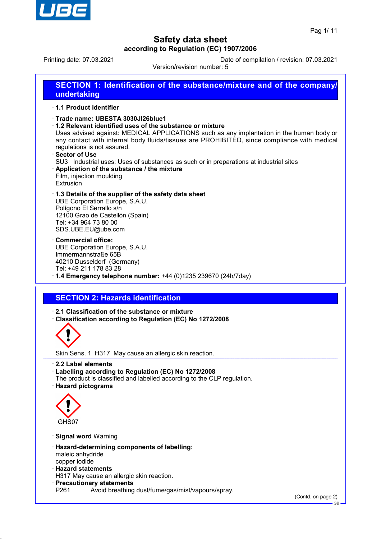

Printing date: 07.03.2021 Date of compilation / revision: 07.03.2021

Version/revision number: 5

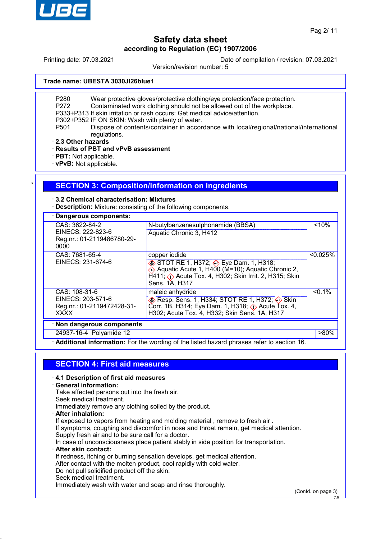

Printing date: 07.03.2021 Date of compilation / revision: 07.03.2021

Version/revision number: 5

## **Trade name: UBESTA 3030JI26blue1**

P280 Wear protective gloves/protective clothing/eye protection/face protection.

- P272 Contaminated work clothing should not be allowed out of the workplace.
- P333+P313 If skin irritation or rash occurs: Get medical advice/attention.

P302+P352 IF ON SKIN: Wash with plenty of water.

P501 Dispose of contents/container in accordance with local/regional/national/international regulations.

· **2.3 Other hazards**

· **Results of PBT and vPvB assessment**

· **PBT:** Not applicable.

· **vPvB:** Not applicable.

## **SECTION 3: Composition/information on ingredients**

· **3.2 Chemical characterisation: Mixtures**

· **Description:** Mixture: consisting of the following components.

| · Dangerous components:                                                         |                                                                                                                                                                                                                    |           |
|---------------------------------------------------------------------------------|--------------------------------------------------------------------------------------------------------------------------------------------------------------------------------------------------------------------|-----------|
| CAS: 3622-84-2<br>EINECS: 222-823-6<br>Reg.nr.: 01-2119486780-29-<br>0000       | N-butylbenzenesulphonamide (BBSA)<br>Aquatic Chronic 3, H412                                                                                                                                                       | < 10%     |
| CAS: 7681-65-4<br>EINECS: 231-674-6                                             | copper iodide<br>STOT RE 1, H372; Seye Dam. 1, H318;<br>Aquatic Acute 1, H400 (M=10); Aquatic Chronic 2,<br>$\hat{H}$ 411; $\langle \cdot \rangle$ Acute Tox. 4, H302; Skin Irrit. 2, H315; Skin<br>Sens. 1A, H317 | < 0.025%  |
| CAS: 108-31-6<br>EINECS: 203-571-6<br>Reg.nr.: 01-2119472428-31-<br><b>XXXX</b> | maleic anhydride<br>♦ Resp. Sens. 1, H334; STOT RE 1, H372; ♦ Skin<br>Corr. 1B, H314; Eye Dam. 1, H318; $\Diamond$ Acute Tox. 4,<br>H302; Acute Tox. 4, H332; Skin Sens. 1A, H317                                  | $< 0.1\%$ |
| · Non dangerous components                                                      |                                                                                                                                                                                                                    |           |
| 24937-16-4 Polyamide 12                                                         |                                                                                                                                                                                                                    | $>80\%$   |

· **Additional information:** For the wording of the listed hazard phrases refer to section 16.

## **SECTION 4: First aid measures**

#### · **4.1 Description of first aid measures**

#### · **General information:**

Take affected persons out into the fresh air.

Seek medical treatment.

Immediately remove any clothing soiled by the product.

· **After inhalation:**

If exposed to vapors from heating and molding material, remove to fresh air.

If symptoms, coughing and discomfort in nose and throat remain, get medical attention. Supply fresh air and to be sure call for a doctor.

In case of unconsciousness place patient stably in side position for transportation.

#### · **After skin contact:**

If redness, itching or burning sensation develops, get medical attention.

After contact with the molten product, cool rapidly with cold water.

- Do not pull solidified product off the skin.
- Seek medical treatment.

Immediately wash with water and soap and rinse thoroughly.

(Contd. on page 3)

GB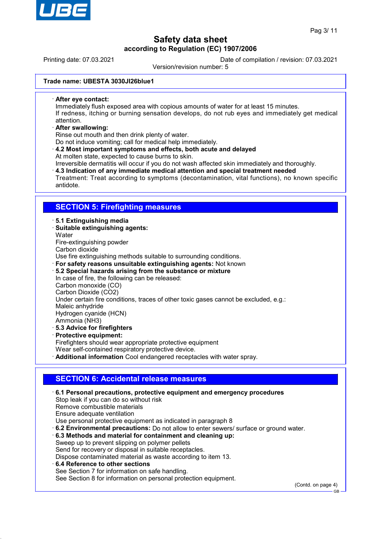

Printing date: 07.03.2021 Date of compilation / revision: 07.03.2021

Version/revision number: 5

## **Trade name: UBESTA 3030JI26blue1**

· **After eye contact:**

Immediately flush exposed area with copious amounts of water for at least 15 minutes. If redness, itching or burning sensation develops, do not rub eyes and immediately get medical attention.

· **After swallowing:**

Rinse out mouth and then drink plenty of water.

Do not induce vomiting; call for medical help immediately.

· **4.2 Most important symptoms and effects, both acute and delayed** At molten state, expected to cause burns to skin.

Irreversible dermatitis will occur if you do not wash affected skin immediately and thoroughly.

· **4.3 Indication of any immediate medical attention and special treatment needed** Treatment: Treat according to symptoms (decontamination, vital functions), no known specific antidote.

## **SECTION 5: Firefighting measures**

· **5.1 Extinguishing media**

· **Suitable extinguishing agents: Water** Fire-extinguishing powder Carbon dioxide Use fire extinguishing methods suitable to surrounding conditions. · **For safety reasons unsuitable extinguishing agents:** Not known · **5.2 Special hazards arising from the substance or mixture** In case of fire, the following can be released: Carbon monoxide (CO) Carbon Dioxide (CO2)

Under certain fire conditions, traces of other toxic gases cannot be excluded, e.g.:

Maleic anhydride

Hydrogen cyanide (HCN)

- Ammonia (NH3)
- · **5.3 Advice for firefighters**
- · **Protective equipment:**

Firefighters should wear appropriate protective equipment

Wear self-contained respiratory protective device.

· **Additional information** Cool endangered receptacles with water spray.

# **SECTION 6: Accidental release measures**

· **6.1 Personal precautions, protective equipment and emergency procedures** Stop leak if you can do so without risk Remove combustible materials Ensure adequate ventilation Use personal protective equipment as indicated in paragraph 8 · **6.2 Environmental precautions:** Do not allow to enter sewers/ surface or ground water. · **6.3 Methods and material for containment and cleaning up:** Sweep up to prevent slipping on polymer pellets Send for recovery or disposal in suitable receptacles. Dispose contaminated material as waste according to item 13. · **6.4 Reference to other sections** See Section 7 for information on safe handling. See Section 8 for information on personal protection equipment.

(Contd. on page 4)

GB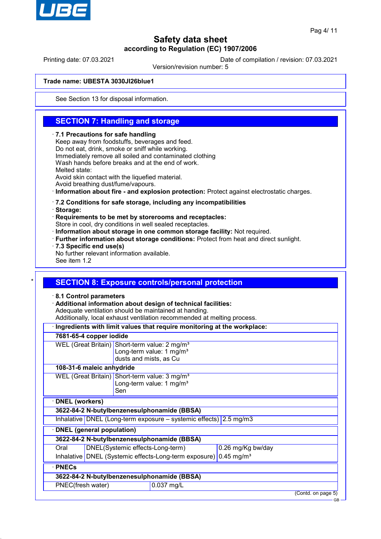

# **Safety data sheet according to Regulation (EC) 1907/2006**

Printing date: 07.03.2021 Date of compilation / revision: 07.03.2021

Version/revision number: 5

## **Trade name: UBESTA 3030JI26blue1**

See Section 13 for disposal information.

## **SECTION 7: Handling and storage**

#### · **7.1 Precautions for safe handling**

Keep away from foodstuffs, beverages and feed. Do not eat, drink, smoke or sniff while working. Immediately remove all soiled and contaminated clothing Wash hands before breaks and at the end of work. Melted state: Avoid skin contact with the liquefied material. Avoid breathing dust/fume/vapours.

· **Information about fire - and explosion protection:** Protect against electrostatic charges.

## · **7.2 Conditions for safe storage, including any incompatibilities**

· **Storage:**

· **Requirements to be met by storerooms and receptacles:**

Store in cool, dry conditions in well sealed receptacles.

- · **Information about storage in one common storage facility:** Not required.
- · **Further information about storage conditions:** Protect from heat and direct sunlight.
- · **7.3 Specific end use(s)**
- No further relevant information available.

See item 1.2

## **SECTION 8: Exposure controls/personal protection**

· **8.1 Control parameters**

· **Additional information about design of technical facilities:**

Adequate ventilation should be maintained at handing.

Additionally, local exhaust ventilation recommended at melting process.

| Ingredients with limit values that require monitoring at the workplace: |                                                                              |                                                       |                                                                                                   |  |                    |
|-------------------------------------------------------------------------|------------------------------------------------------------------------------|-------------------------------------------------------|---------------------------------------------------------------------------------------------------|--|--------------------|
| 7681-65-4 copper iodide                                                 |                                                                              |                                                       |                                                                                                   |  |                    |
|                                                                         |                                                                              |                                                       | WEL (Great Britain) Short-term value: 2 mg/m <sup>3</sup><br>Long-term value: 1 mg/m <sup>3</sup> |  |                    |
|                                                                         |                                                                              | dusts and mists, as Cu                                |                                                                                                   |  |                    |
|                                                                         | 108-31-6 maleic anhydride                                                    |                                                       |                                                                                                   |  |                    |
|                                                                         |                                                                              |                                                       | WEL (Great Britain) Short-term value: 3 mg/m <sup>3</sup><br>Long-term value: 1 mg/m <sup>3</sup> |  |                    |
|                                                                         |                                                                              | Sen                                                   |                                                                                                   |  |                    |
|                                                                         | <b>DNEL</b> (workers)                                                        |                                                       |                                                                                                   |  |                    |
|                                                                         | 3622-84-2 N-butylbenzenesulphonamide (BBSA)                                  |                                                       |                                                                                                   |  |                    |
|                                                                         | Inhalative DNEL (Long-term exposure – systemic effects) 2.5 mg/m3            |                                                       |                                                                                                   |  |                    |
| <b>DNEL</b> (general population)                                        |                                                                              |                                                       |                                                                                                   |  |                    |
| 3622-84-2 N-butylbenzenesulphonamide (BBSA)                             |                                                                              |                                                       |                                                                                                   |  |                    |
| Oral                                                                    |                                                                              | DNEL(Systemic effects-Long-term)<br>0.26 mg/Kg bw/day |                                                                                                   |  |                    |
|                                                                         | Inhalative DNEL (Systemic effects-Long-term exposure) 0.45 mg/m <sup>3</sup> |                                                       |                                                                                                   |  |                    |
| $\cdot$ PNECs                                                           |                                                                              |                                                       |                                                                                                   |  |                    |
| 3622-84-2 N-butylbenzenesulphonamide (BBSA)                             |                                                                              |                                                       |                                                                                                   |  |                    |
|                                                                         | PNEC(fresh water)<br>0.037 mg/L                                              |                                                       |                                                                                                   |  |                    |
|                                                                         |                                                                              |                                                       |                                                                                                   |  | (Contd. on page 5) |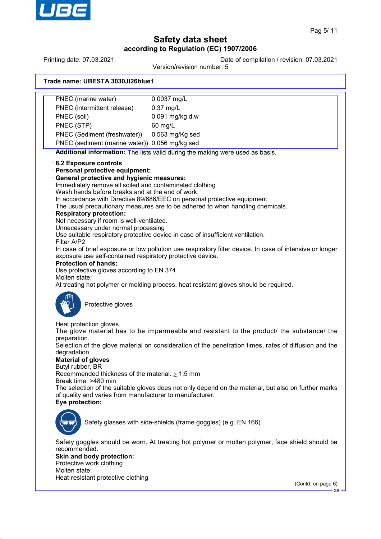

# **Safety data sheet according to Regulation (EC) 1907/2006**

Printing date: 07.03.2021 Date of compilation / revision: 07.03.2021

Version/revision number: 5

## **Trade name: UBESTA 3030JI26blue1**

PNEC (marine water) 0.0037 mg/L PNEC (intermittent release) | 0.37 mg/L PNEC (soil) 0.091 mg/kg d.w PNEC (STP) 60 mg/L PNEC (Sediment (freshwater)) | 0.563 mg/Kg sed PNEC (sediment (marine water)) 0.056 mg/kg sed · **Additional information:** The lists valid during the making were used as basis. · **8.2 Exposure controls** · **Personal protective equipment:** · **General protective and hygienic measures:** Immediately remove all soiled and contaminated clothing Wash hands before breaks and at the end of work. In accordance with Directive 89/686/EEC on personal protective equipment The usual precautionary measures are to be adhered to when handling chemicals. · **Respiratory protection:** Not necessary if room is well-ventilated. Unnecessary under normal processing Use suitable respiratory protective device in case of insufficient ventilation. Filter A/P2 In case of brief exposure or low pollution use respiratory filter device. In case of intensive or longer exposure use self-contained respiratory protective device. · **Protection of hands:** Use protective gloves according to EN 374 Molten state: At treating hot polymer or molding process, heat resistant gloves should be required. Protective gloves Heat protection gloves The glove material has to be impermeable and resistant to the product/ the substance/ the preparation. Selection of the glove material on consideration of the penetration times, rates of diffusion and the degradation · **Material of gloves** Butyl rubber, BR Recommended thickness of the material:  $\geq 1.5$  mm Break time: >480 min The selection of the suitable gloves does not only depend on the material, but also on further marks of quality and varies from manufacturer to manufacturer. · **Eye protection:** Safety glasses with side-shields (frame goggles) (e.g. EN 166) Safety goggles should be worn. At treating hot polymer or molten polymer, face shield should be recommended. **Skin and body protection:** Protective work clothing Molten state: Heat-resistant protective clothing (Contd. on page 6)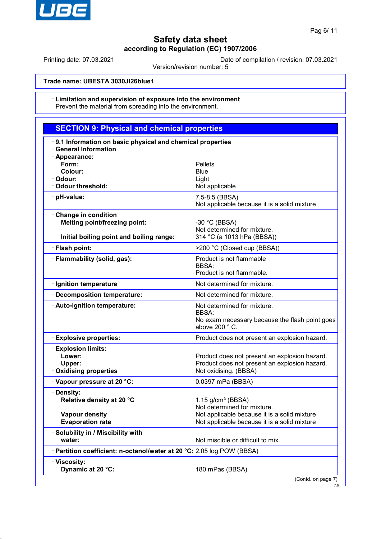

Printing date: 07.03.2021 Date of compilation / revision: 07.03.2021

Version/revision number: 5

## **Trade name: UBESTA 3030JI26blue1**

#### Limitation and supervision of exposure into the environment Prevent the material from spreading into the environment.

## **SECTION 9: Physical and chemical properties** · **9.1 Information on basic physical and chemical properties** · **General Information** · **Appearance: Form:** Pellets **Colour:** Blue · **Odour:** Light **Odour threshold:** Not applicable · **pH-value:** 7.5-8.5 (BBSA) Not applicable because it is a solid mixture · **Change in condition Melting point/freezing point:** -30 °C (BBSA) Not determined for mixture. **Initial boiling point and boiling range:** 314 °C (a 1013 hPa (BBSA)) · **Flash point:** >200 °C (Closed cup (BBSA)) · **Flammability (solid, gas):** Product is not flammable BBSA: Product is not flammable. · **Ignition temperature If all a set of the UP** and Not determined for mixture. **Decomposition temperature:** Not determined for mixture. · **Auto-ignition temperature:** Not determined for mixture. BBSA: No exam necessary because the flash point goes above 200 ° C. · **Explosive properties:** Product does not present an explosion hazard. · **Explosion limits: Lower: Lower: Product does not present an explosion hazard. Upper:** Product does not present an explosion hazard. · **Oxidising properties** Not oxidising. (BBSA) · **Vapour pressure at 20 °C:** 0.0397 mPa (BBSA) · **Density: Relative density at 20 °C** 1.15 g/cm<sup>3</sup> (BBSA) Not determined for mixture. **Vapour density** Not applicable because it is a solid mixture **Evaporation rate Evaporation rate Not applicable because it is a solid mixture** · **Solubility in / Miscibility with water:**  $\blacksquare$  Not miscible or difficult to mix. · **Partition coefficient: n-octanol/water at 20 °C:** 2.05 log POW (BBSA) · **Viscosity: Dynamic at 20 °C:** 180 mPas (BBSA) (Contd. on page 7)

GB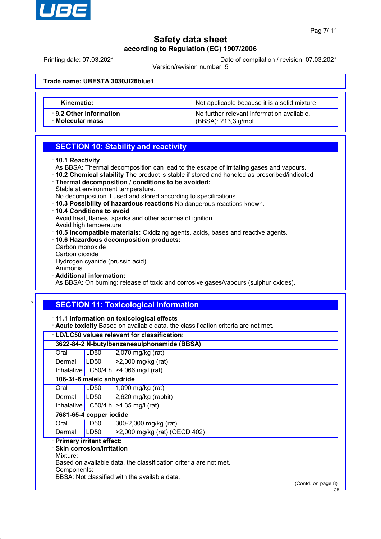

# **Safety data sheet according to Regulation (EC) 1907/2006**

Printing date: 07.03.2021 Date of compilation / revision: 07.03.2021

Version/revision number: 5

## **Trade name: UBESTA 3030JI26blue1**

**Kinematic:** Not applicable because it is a solid mixture

· **9.2 Other information** No further relevant information available. · **Molecular mass** (BBSA): 213,3 g/mol

## **SECTION 10: Stability and reactivity**

- As BBSA: Thermal decomposition can lead to the escape of irritating gases and vapours.
- · **10.2 Chemical stability** The product is stable if stored and handled as prescribed/indicated
- · **Thermal decomposition / conditions to be avoided:** Stable at environment temperature.
- No decomposition if used and stored according to specifications.
- · **10.3 Possibility of hazardous reactions** No dangerous reactions known.
- · **10.4 Conditions to avoid**

Avoid heat, flames, sparks and other sources of ignition.

- Avoid high temperature
- · **10.5 Incompatible materials:** Oxidizing agents, acids, bases and reactive agents.
- · **10.6 Hazardous decomposition products:** Carbon monoxide
	- Carbon dioxide

Hydrogen cyanide (prussic acid)

- Ammonia
- · **Additional information:**

As BBSA: On burning: release of toxic and corrosive gases/vapours (sulphur oxides).

## **SECTION 11: Toxicological information**

· **11.1 Information on toxicological effects**

· **Acute toxicity** Based on available data, the classification criteria are not met.

|          | · LD/LC50 values relevant for classification:                                                                                                                                                                              |                                          |  |
|----------|----------------------------------------------------------------------------------------------------------------------------------------------------------------------------------------------------------------------------|------------------------------------------|--|
|          | 3622-84-2 N-butylbenzenesulphonamide (BBSA)                                                                                                                                                                                |                                          |  |
| Oral     | LD50                                                                                                                                                                                                                       | 2,070 mg/kg (rat)                        |  |
| Dermal   | LD50                                                                                                                                                                                                                       | >2,000 mg/kg (rat)                       |  |
|          |                                                                                                                                                                                                                            | Inhalative LC50/4 h   > 4.066 mg/l (rat) |  |
|          | 108-31-6 maleic anhydride                                                                                                                                                                                                  |                                          |  |
| Oral     | LD50                                                                                                                                                                                                                       | 1,090 mg/kg (rat)                        |  |
| Dermal   | LD50                                                                                                                                                                                                                       | $2,620$ mg/kg (rabbit)                   |  |
|          |                                                                                                                                                                                                                            | Inhalative LC50/4 h $>4.35$ mg/l (rat)   |  |
|          | 7681-65-4 copper iodide                                                                                                                                                                                                    |                                          |  |
| Oral     | LD50                                                                                                                                                                                                                       | 300-2,000 mg/kg (rat)                    |  |
| Dermal   | LD50                                                                                                                                                                                                                       | >2,000 mg/kg (rat) (OECD 402)            |  |
| Mixture: | · Primary irritant effect:<br>$\cdot$ Skin corrosion/irritation<br>Based on available data, the classification criteria are not met.<br>Components:<br>BBSA: Not classified with the available data.<br>(Contd. on page 8) |                                          |  |

<sup>·</sup> **10.1 Reactivity**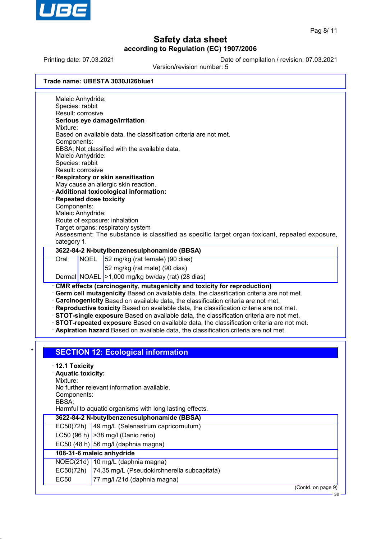

 $\overline{\phantom{a}}$ 

# **Safety data sheet according to Regulation (EC) 1907/2006**

Printing date: 07.03.2021 Date of compilation / revision: 07.03.2021

Version/revision number: 5

|                                 | Maleic Anhydride: |                                                                                                                                                                                                                                                                                                                                                                                                             |
|---------------------------------|-------------------|-------------------------------------------------------------------------------------------------------------------------------------------------------------------------------------------------------------------------------------------------------------------------------------------------------------------------------------------------------------------------------------------------------------|
| Species: rabbit                 | Result: corrosive |                                                                                                                                                                                                                                                                                                                                                                                                             |
|                                 |                   | Serious eye damage/irritation                                                                                                                                                                                                                                                                                                                                                                               |
| Mixture:                        |                   |                                                                                                                                                                                                                                                                                                                                                                                                             |
|                                 |                   | Based on available data, the classification criteria are not met.                                                                                                                                                                                                                                                                                                                                           |
| Components:                     |                   | BBSA: Not classified with the available data.                                                                                                                                                                                                                                                                                                                                                               |
|                                 | Maleic Anhydride: |                                                                                                                                                                                                                                                                                                                                                                                                             |
| Species: rabbit                 |                   |                                                                                                                                                                                                                                                                                                                                                                                                             |
|                                 | Result: corrosive |                                                                                                                                                                                                                                                                                                                                                                                                             |
|                                 |                   | Respiratory or skin sensitisation                                                                                                                                                                                                                                                                                                                                                                           |
|                                 |                   | May cause an allergic skin reaction.<br>· Additional toxicological information:                                                                                                                                                                                                                                                                                                                             |
|                                 |                   | <b>Repeated dose toxicity</b>                                                                                                                                                                                                                                                                                                                                                                               |
| Components:                     |                   |                                                                                                                                                                                                                                                                                                                                                                                                             |
|                                 | Maleic Anhydride: |                                                                                                                                                                                                                                                                                                                                                                                                             |
|                                 |                   | Route of exposure: inhalation                                                                                                                                                                                                                                                                                                                                                                               |
|                                 |                   | Target organs: respiratory system                                                                                                                                                                                                                                                                                                                                                                           |
| category 1.                     |                   | Assessment: The substance is classified as specific target organ toxicant, repeated exposure,                                                                                                                                                                                                                                                                                                               |
|                                 |                   | 3622-84-2 N-butylbenzenesulphonamide (BBSA)                                                                                                                                                                                                                                                                                                                                                                 |
| Oral                            | <b>NOEL</b>       | 52 mg/kg (rat female) (90 dias)                                                                                                                                                                                                                                                                                                                                                                             |
|                                 |                   |                                                                                                                                                                                                                                                                                                                                                                                                             |
|                                 |                   |                                                                                                                                                                                                                                                                                                                                                                                                             |
|                                 |                   | 52 mg/kg (rat male) (90 dias)                                                                                                                                                                                                                                                                                                                                                                               |
|                                 |                   | Dermal NOAEL >1,000 mg/kg bw/day (rat) (28 dias)<br>CMR effects (carcinogenity, mutagenicity and toxicity for reproduction)<br>Germ cell mutagenicity Based on available data, the classification criteria are not met.<br>· Carcinogenicity Based on available data, the classification criteria are not met.<br>· Reproductive toxicity Based on available data, the classification criteria are not met. |
|                                 |                   | STOT-single exposure Based on available data, the classification criteria are not met.<br>STOT-repeated exposure Based on available data, the classification criteria are not met.                                                                                                                                                                                                                          |
|                                 |                   | Aspiration hazard Based on available data, the classification criteria are not met.                                                                                                                                                                                                                                                                                                                         |
|                                 |                   |                                                                                                                                                                                                                                                                                                                                                                                                             |
|                                 |                   | <b>SECTION 12: Ecological information</b>                                                                                                                                                                                                                                                                                                                                                                   |
|                                 |                   |                                                                                                                                                                                                                                                                                                                                                                                                             |
| $\cdot$ 12.1 Toxicity           |                   |                                                                                                                                                                                                                                                                                                                                                                                                             |
| · Aquatic toxicity:<br>Mixture: |                   |                                                                                                                                                                                                                                                                                                                                                                                                             |
|                                 |                   | No further relevant information available.                                                                                                                                                                                                                                                                                                                                                                  |
| Components:                     |                   |                                                                                                                                                                                                                                                                                                                                                                                                             |
| <b>BBSA:</b>                    |                   |                                                                                                                                                                                                                                                                                                                                                                                                             |
|                                 |                   | Harmful to aquatic organisms with long lasting effects.                                                                                                                                                                                                                                                                                                                                                     |
|                                 |                   | 3622-84-2 N-butylbenzenesulphonamide (BBSA)                                                                                                                                                                                                                                                                                                                                                                 |
| EC50(72h)                       |                   | 49 mg/L (Selenastrum capricornutum)                                                                                                                                                                                                                                                                                                                                                                         |
|                                 |                   | LC50 (96 h) $ >38$ mg/l (Danio rerio)                                                                                                                                                                                                                                                                                                                                                                       |
|                                 |                   | EC50 $(48 h)$ 56 mg/l (daphnia magna)                                                                                                                                                                                                                                                                                                                                                                       |
|                                 |                   | 108-31-6 maleic anhydride                                                                                                                                                                                                                                                                                                                                                                                   |
|                                 |                   | NOEC(21d) 10 mg/L (daphnia magna)                                                                                                                                                                                                                                                                                                                                                                           |
| EC50(72h)<br><b>EC50</b>        |                   | 74.35 mg/L (Pseudokirchnerella subcapitata)<br>77 mg/l /21d (daphnia magna)                                                                                                                                                                                                                                                                                                                                 |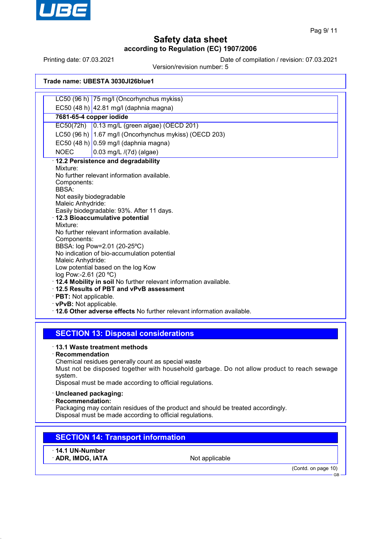

Printing date: 07.03.2021 Date of compilation / revision: 07.03.2021

Version/revision number: 5

## **Trade name: UBESTA 3030JI26blue1**

|                                                                         | LC50 (96 h) 75 mg/l (Oncorhynchus mykiss)              |  |  |  |  |
|-------------------------------------------------------------------------|--------------------------------------------------------|--|--|--|--|
|                                                                         | EC50 (48 h) 42.81 mg/l (daphnia magna)                 |  |  |  |  |
|                                                                         | 7681-65-4 copper iodide                                |  |  |  |  |
|                                                                         | EC50(72h) $\vert$ 0.13 mg/L (green algae) (OECD 201)   |  |  |  |  |
|                                                                         | LC50 (96 h) 1.67 mg/l (Oncorhynchus mykiss) (OECD 203) |  |  |  |  |
|                                                                         | EC50 (48 h) $ 0.59$ mg/l (daphnia magna)               |  |  |  |  |
| <b>NOEC</b>                                                             | 0.03 mg/L /(7d) (algae)                                |  |  |  |  |
|                                                                         | · 12.2 Persistence and degradability                   |  |  |  |  |
| Mixture:                                                                |                                                        |  |  |  |  |
|                                                                         | No further relevant information available.             |  |  |  |  |
| Components:<br>BBSA:                                                    |                                                        |  |  |  |  |
| Not easily biodegradable                                                |                                                        |  |  |  |  |
| Maleic Anhydride:                                                       |                                                        |  |  |  |  |
|                                                                         | Easily biodegradable: 93%. After 11 days.              |  |  |  |  |
|                                                                         | · 12.3 Bioaccumulative potential                       |  |  |  |  |
| Mixture:                                                                |                                                        |  |  |  |  |
|                                                                         | No further relevant information available.             |  |  |  |  |
| Components:                                                             |                                                        |  |  |  |  |
|                                                                         | BBSA: log Pow=2.01 (20-25°C)                           |  |  |  |  |
|                                                                         | No indication of bio-accumulation potential            |  |  |  |  |
| Maleic Anhydride:<br>Low potential based on the log Kow                 |                                                        |  |  |  |  |
| log Pow:-2.61 (20 °C)                                                   |                                                        |  |  |  |  |
| · 12.4 Mobility in soil No further relevant information available.      |                                                        |  |  |  |  |
| 12.5 Results of PBT and vPvB assessment                                 |                                                        |  |  |  |  |
| $\cdot$ PBT: Not applicable.                                            |                                                        |  |  |  |  |
| $\cdot$ vPvB: Not applicable.                                           |                                                        |  |  |  |  |
| . 12.6 Other adverse effects No further relevant information available. |                                                        |  |  |  |  |
|                                                                         |                                                        |  |  |  |  |

## **SECTION 13: Disposal considerations**

· **13.1 Waste treatment methods**

· **Recommendation**

Chemical residues generally count as special waste

Must not be disposed together with household garbage. Do not allow product to reach sewage system.

Disposal must be made according to official regulations.

- · **Uncleaned packaging:**
- · **Recommendation:**

Packaging may contain residues of the product and should be treated accordingly. Disposal must be made according to official regulations.

# **SECTION 14: Transport information**

· **14.1 UN-Number**

ADR, IMDG, IATA Not applicable

(Contd. on page 10)

 $\overline{G}$ B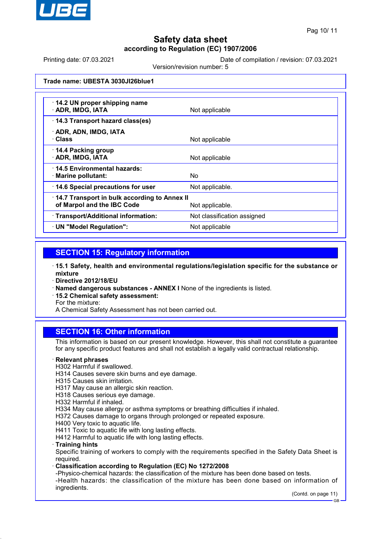

Printing date: 07.03.2021 Date of compilation / revision: 07.03.2021

Version/revision number: 5

## **Trade name: UBESTA 3030JI26blue1**

| 14.2 UN proper shipping name<br>· ADR, IMDG, IATA                          | Not applicable              |
|----------------------------------------------------------------------------|-----------------------------|
| 14.3 Transport hazard class(es)                                            |                             |
| · ADR, ADN, IMDG, IATA<br>· Class                                          | Not applicable              |
| 14.4 Packing group<br>· ADR, IMDG, IATA                                    | Not applicable              |
| 14.5 Environmental hazards:<br>· Marine pollutant:                         | No.                         |
| 14.6 Special precautions for user                                          | Not applicable.             |
| 14.7 Transport in bulk according to Annex II<br>of Marpol and the IBC Code | Not applicable.             |
| · Transport/Additional information:                                        | Not classification assigned |
| · UN "Model Regulation":                                                   | Not applicable              |

## **SECTION 15: Regulatory information**

· **15.1 Safety, health and environmental regulations/legislation specific for the substance or mixture**

- · **Directive 2012/18/EU**
- · **Named dangerous substances ANNEX I** None of the ingredients is listed.
- · **15.2 Chemical safety assessment:**

For the mixture:

A Chemical Safety Assessment has not been carried out.

## **SECTION 16: Other information**

This information is based on our present knowledge. However, this shall not constitute a guarantee for any specific product features and shall not establish a legally valid contractual relationship.

### · **Relevant phrases**

- H302 Harmful if swallowed.
- H314 Causes severe skin burns and eye damage.
- H315 Causes skin irritation.
- H317 May cause an allergic skin reaction.
- H318 Causes serious eye damage.
- H332 Harmful if inhaled.

H334 May cause allergy or asthma symptoms or breathing difficulties if inhaled.

- H372 Causes damage to organs through prolonged or repeated exposure.
- H400 Very toxic to aquatic life.
- H411 Toxic to aquatic life with long lasting effects.

H412 Harmful to aquatic life with long lasting effects.

· **Training hints**

Specific training of workers to comply with the requirements specified in the Safety Data Sheet is required.

## · **Classification according to Regulation (EC) No 1272/2008**

-Physico-chemical hazards: the classification of the mixture has been done based on tests. -Health hazards: the classification of the mixture has been done based on information of ingredients.

(Contd. on page 11)

GB